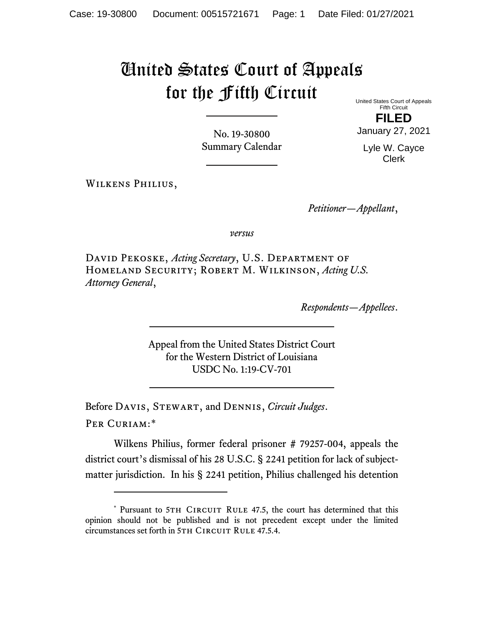## United States Court of Appeals for the Fifth Circuit

No. 19-30800 Summary Calendar United States Court of Appeals Fifth Circuit

**FILED** January 27, 2021

Lyle W. Cayce Clerk

Wilkens Philius,

*Petitioner—Appellant*,

*versus*

David Pekoske, *Acting Secretary*, U.S. Department of Homeland Security; Robert M. Wilkinson, *Acting U.S. Attorney General*,

*Respondents—Appellees*.

Appeal from the United States District Court for the Western District of Louisiana USDC No. 1:19-CV-701

Before Davis, Stewart, and Dennis, *Circuit Judges*. Per Curiam:[\\*](#page-0-0)

Wilkens Philius, former federal prisoner # 79257-004, appeals the district court's dismissal of his 28 U.S.C. § 2241 petition for lack of subjectmatter jurisdiction. In his § 2241 petition, Philius challenged his detention

<span id="page-0-0"></span><sup>\*</sup> Pursuant to 5TH CIRCUIT RULE 47.5, the court has determined that this opinion should not be published and is not precedent except under the limited circumstances set forth in 5TH CIRCUIT RULE 47.5.4.